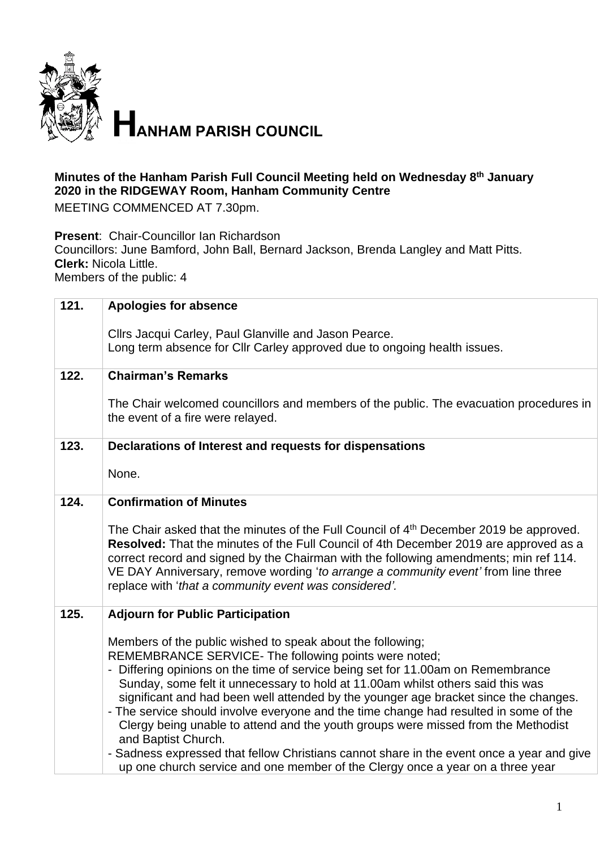

## **Minutes of the Hanham Parish Full Council Meeting held on Wednesday 8 th January 2020 in the RIDGEWAY Room, Hanham Community Centre**

MEETING COMMENCED AT 7.30pm.

**Present**: Chair-Councillor Ian Richardson Councillors: June Bamford, John Ball, Bernard Jackson, Brenda Langley and Matt Pitts. **Clerk:** Nicola Little.

Members of the public: 4

| 121. | <b>Apologies for absence</b>                                                                                                                                                |
|------|-----------------------------------------------------------------------------------------------------------------------------------------------------------------------------|
|      | Cllrs Jacqui Carley, Paul Glanville and Jason Pearce.                                                                                                                       |
|      | Long term absence for Cllr Carley approved due to ongoing health issues.                                                                                                    |
|      |                                                                                                                                                                             |
| 122. | <b>Chairman's Remarks</b>                                                                                                                                                   |
|      | The Chair welcomed councillors and members of the public. The evacuation procedures in                                                                                      |
|      | the event of a fire were relayed.                                                                                                                                           |
|      |                                                                                                                                                                             |
| 123. | Declarations of Interest and requests for dispensations                                                                                                                     |
|      | None.                                                                                                                                                                       |
|      |                                                                                                                                                                             |
| 124. | <b>Confirmation of Minutes</b>                                                                                                                                              |
|      |                                                                                                                                                                             |
|      | The Chair asked that the minutes of the Full Council of 4 <sup>th</sup> December 2019 be approved.                                                                          |
|      | Resolved: That the minutes of the Full Council of 4th December 2019 are approved as a                                                                                       |
|      | correct record and signed by the Chairman with the following amendments; min ref 114.<br>VE DAY Anniversary, remove wording 'to arrange a community event' from line three  |
|      | replace with 'that a community event was considered'.                                                                                                                       |
|      |                                                                                                                                                                             |
| 125. | <b>Adjourn for Public Participation</b>                                                                                                                                     |
|      |                                                                                                                                                                             |
|      | Members of the public wished to speak about the following;<br>REMEMBRANCE SERVICE- The following points were noted;                                                         |
|      | - Differing opinions on the time of service being set for 11.00am on Remembrance                                                                                            |
|      | Sunday, some felt it unnecessary to hold at 11.00am whilst others said this was                                                                                             |
|      | significant and had been well attended by the younger age bracket since the changes.                                                                                        |
|      | - The service should involve everyone and the time change had resulted in some of the                                                                                       |
|      | Clergy being unable to attend and the youth groups were missed from the Methodist                                                                                           |
|      | and Baptist Church.                                                                                                                                                         |
|      | - Sadness expressed that fellow Christians cannot share in the event once a year and give<br>up one church service and one member of the Clergy once a year on a three year |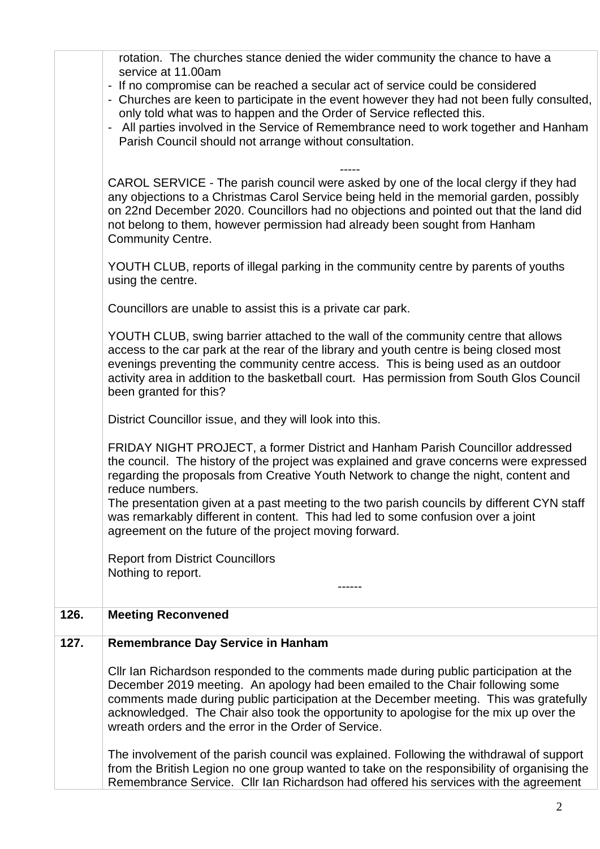|      | rotation. The churches stance denied the wider community the chance to have a<br>service at 11.00am                                                                                                                                                                                                                                                                                       |
|------|-------------------------------------------------------------------------------------------------------------------------------------------------------------------------------------------------------------------------------------------------------------------------------------------------------------------------------------------------------------------------------------------|
|      | - If no compromise can be reached a secular act of service could be considered<br>- Churches are keen to participate in the event however they had not been fully consulted,<br>only told what was to happen and the Order of Service reflected this.<br>All parties involved in the Service of Remembrance need to work together and Hanham                                              |
|      | Parish Council should not arrange without consultation.<br>CAROL SERVICE - The parish council were asked by one of the local clergy if they had                                                                                                                                                                                                                                           |
|      | any objections to a Christmas Carol Service being held in the memorial garden, possibly<br>on 22nd December 2020. Councillors had no objections and pointed out that the land did<br>not belong to them, however permission had already been sought from Hanham<br><b>Community Centre.</b>                                                                                               |
|      | YOUTH CLUB, reports of illegal parking in the community centre by parents of youths<br>using the centre.                                                                                                                                                                                                                                                                                  |
|      | Councillors are unable to assist this is a private car park.                                                                                                                                                                                                                                                                                                                              |
|      | YOUTH CLUB, swing barrier attached to the wall of the community centre that allows<br>access to the car park at the rear of the library and youth centre is being closed most<br>evenings preventing the community centre access. This is being used as an outdoor<br>activity area in addition to the basketball court. Has permission from South Glos Council<br>been granted for this? |
|      | District Councillor issue, and they will look into this.                                                                                                                                                                                                                                                                                                                                  |
|      | FRIDAY NIGHT PROJECT, a former District and Hanham Parish Councillor addressed<br>the council. The history of the project was explained and grave concerns were expressed<br>regarding the proposals from Creative Youth Network to change the night, content and<br>reduce numbers.                                                                                                      |
|      | The presentation given at a past meeting to the two parish councils by different CYN staff<br>was remarkably different in content. This had led to some confusion over a joint<br>agreement on the future of the project moving forward.                                                                                                                                                  |
|      | <b>Report from District Councillors</b>                                                                                                                                                                                                                                                                                                                                                   |
|      | Nothing to report.                                                                                                                                                                                                                                                                                                                                                                        |
| 126. | <b>Meeting Reconvened</b>                                                                                                                                                                                                                                                                                                                                                                 |
| 127. | <b>Remembrance Day Service in Hanham</b>                                                                                                                                                                                                                                                                                                                                                  |
|      | CIIr Ian Richardson responded to the comments made during public participation at the                                                                                                                                                                                                                                                                                                     |
|      | December 2019 meeting. An apology had been emailed to the Chair following some<br>comments made during public participation at the December meeting. This was gratefully                                                                                                                                                                                                                  |
|      | acknowledged. The Chair also took the opportunity to apologise for the mix up over the<br>wreath orders and the error in the Order of Service.                                                                                                                                                                                                                                            |
|      | The involvement of the parish council was explained. Following the withdrawal of support<br>from the British Legion no one group wanted to take on the responsibility of organising the                                                                                                                                                                                                   |
|      | Remembrance Service. Cllr Ian Richardson had offered his services with the agreement                                                                                                                                                                                                                                                                                                      |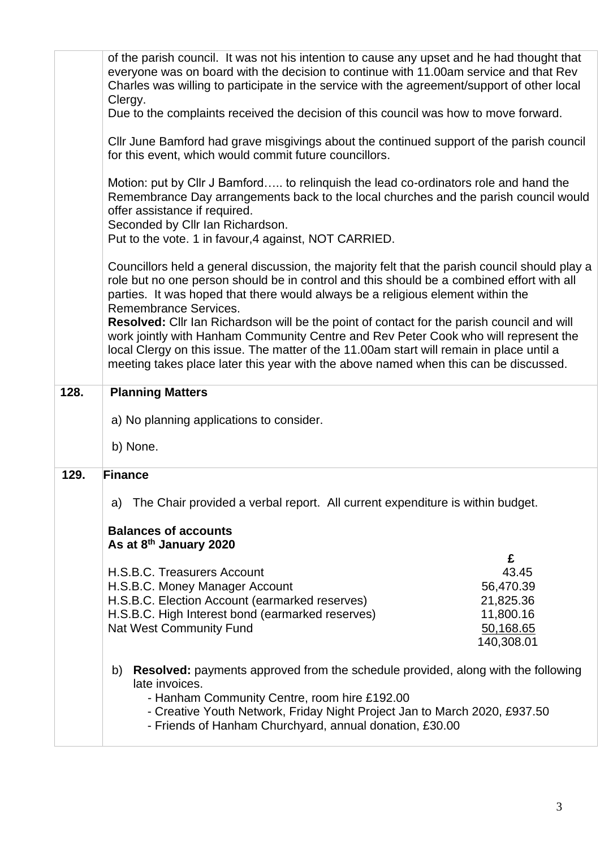|      | of the parish council. It was not his intention to cause any upset and he had thought that<br>everyone was on board with the decision to continue with 11.00am service and that Rev<br>Charles was willing to participate in the service with the agreement/support of other local<br>Clergy.                                                                         |
|------|-----------------------------------------------------------------------------------------------------------------------------------------------------------------------------------------------------------------------------------------------------------------------------------------------------------------------------------------------------------------------|
|      | Due to the complaints received the decision of this council was how to move forward.                                                                                                                                                                                                                                                                                  |
|      | Cllr June Bamford had grave misgivings about the continued support of the parish council<br>for this event, which would commit future councillors.                                                                                                                                                                                                                    |
|      | Motion: put by Cllr J Bamford to relinquish the lead co-ordinators role and hand the<br>Remembrance Day arrangements back to the local churches and the parish council would<br>offer assistance if required.<br>Seconded by Cllr Ian Richardson.<br>Put to the vote. 1 in favour, 4 against, NOT CARRIED.                                                            |
|      | Councillors held a general discussion, the majority felt that the parish council should play a<br>role but no one person should be in control and this should be a combined effort with all<br>parties. It was hoped that there would always be a religious element within the<br>Remembrance Services.                                                               |
|      | Resolved: Cllr Ian Richardson will be the point of contact for the parish council and will<br>work jointly with Hanham Community Centre and Rev Peter Cook who will represent the<br>local Clergy on this issue. The matter of the 11.00am start will remain in place until a<br>meeting takes place later this year with the above named when this can be discussed. |
| 128. | <b>Planning Matters</b>                                                                                                                                                                                                                                                                                                                                               |
|      |                                                                                                                                                                                                                                                                                                                                                                       |
|      | a) No planning applications to consider.                                                                                                                                                                                                                                                                                                                              |
|      | b) None.                                                                                                                                                                                                                                                                                                                                                              |
| 129. | <b>Finance</b>                                                                                                                                                                                                                                                                                                                                                        |
|      | The Chair provided a verbal report. All current expenditure is within budget.<br>a)                                                                                                                                                                                                                                                                                   |
|      | <b>Balances of accounts</b>                                                                                                                                                                                                                                                                                                                                           |
|      | As at 8 <sup>th</sup> January 2020                                                                                                                                                                                                                                                                                                                                    |
|      | £<br>H.S.B.C. Treasurers Account                                                                                                                                                                                                                                                                                                                                      |
|      | 43.45<br>H.S.B.C. Money Manager Account<br>56,470.39                                                                                                                                                                                                                                                                                                                  |
|      | H.S.B.C. Election Account (earmarked reserves)<br>21,825.36                                                                                                                                                                                                                                                                                                           |
|      | H.S.B.C. High Interest bond (earmarked reserves)<br>11,800.16                                                                                                                                                                                                                                                                                                         |
|      | <b>Nat West Community Fund</b><br>50,168.65                                                                                                                                                                                                                                                                                                                           |
|      | 140,308.01                                                                                                                                                                                                                                                                                                                                                            |
|      | <b>Resolved:</b> payments approved from the schedule provided, along with the following<br>b)<br>late invoices.<br>- Hanham Community Centre, room hire £192.00<br>- Creative Youth Network, Friday Night Project Jan to March 2020, £937.50<br>- Friends of Hanham Churchyard, annual donation, £30.00                                                               |
|      |                                                                                                                                                                                                                                                                                                                                                                       |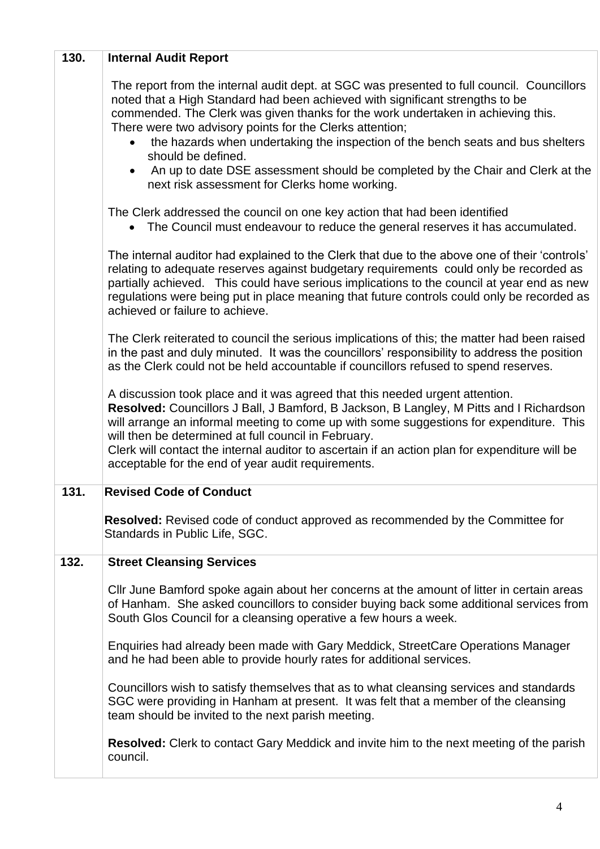| 130. | <b>Internal Audit Report</b>                                                                                                                                                                                                                                                                                                                                                                                                                                                       |
|------|------------------------------------------------------------------------------------------------------------------------------------------------------------------------------------------------------------------------------------------------------------------------------------------------------------------------------------------------------------------------------------------------------------------------------------------------------------------------------------|
|      | The report from the internal audit dept. at SGC was presented to full council. Councillors<br>noted that a High Standard had been achieved with significant strengths to be<br>commended. The Clerk was given thanks for the work undertaken in achieving this.<br>There were two advisory points for the Clerks attention;                                                                                                                                                        |
|      | the hazards when undertaking the inspection of the bench seats and bus shelters<br>should be defined.                                                                                                                                                                                                                                                                                                                                                                              |
|      | An up to date DSE assessment should be completed by the Chair and Clerk at the<br>next risk assessment for Clerks home working.                                                                                                                                                                                                                                                                                                                                                    |
|      | The Clerk addressed the council on one key action that had been identified<br>The Council must endeavour to reduce the general reserves it has accumulated.                                                                                                                                                                                                                                                                                                                        |
|      | The internal auditor had explained to the Clerk that due to the above one of their 'controls'<br>relating to adequate reserves against budgetary requirements could only be recorded as<br>partially achieved. This could have serious implications to the council at year end as new<br>regulations were being put in place meaning that future controls could only be recorded as<br>achieved or failure to achieve.                                                             |
|      | The Clerk reiterated to council the serious implications of this; the matter had been raised<br>in the past and duly minuted. It was the councillors' responsibility to address the position<br>as the Clerk could not be held accountable if councillors refused to spend reserves.                                                                                                                                                                                               |
|      | A discussion took place and it was agreed that this needed urgent attention.<br>Resolved: Councillors J Ball, J Bamford, B Jackson, B Langley, M Pitts and I Richardson<br>will arrange an informal meeting to come up with some suggestions for expenditure. This<br>will then be determined at full council in February.<br>Clerk will contact the internal auditor to ascertain if an action plan for expenditure will be<br>acceptable for the end of year audit requirements. |
| 131. | <b>Revised Code of Conduct</b>                                                                                                                                                                                                                                                                                                                                                                                                                                                     |
|      | <b>Resolved:</b> Revised code of conduct approved as recommended by the Committee for<br>Standards in Public Life, SGC.                                                                                                                                                                                                                                                                                                                                                            |
| 132. | <b>Street Cleansing Services</b>                                                                                                                                                                                                                                                                                                                                                                                                                                                   |
|      | Cllr June Bamford spoke again about her concerns at the amount of litter in certain areas<br>of Hanham. She asked councillors to consider buying back some additional services from<br>South Glos Council for a cleansing operative a few hours a week.                                                                                                                                                                                                                            |
|      | Enquiries had already been made with Gary Meddick, StreetCare Operations Manager<br>and he had been able to provide hourly rates for additional services.                                                                                                                                                                                                                                                                                                                          |
|      | Councillors wish to satisfy themselves that as to what cleansing services and standards<br>SGC were providing in Hanham at present. It was felt that a member of the cleansing<br>team should be invited to the next parish meeting.                                                                                                                                                                                                                                               |
|      | <b>Resolved:</b> Clerk to contact Gary Meddick and invite him to the next meeting of the parish<br>council.                                                                                                                                                                                                                                                                                                                                                                        |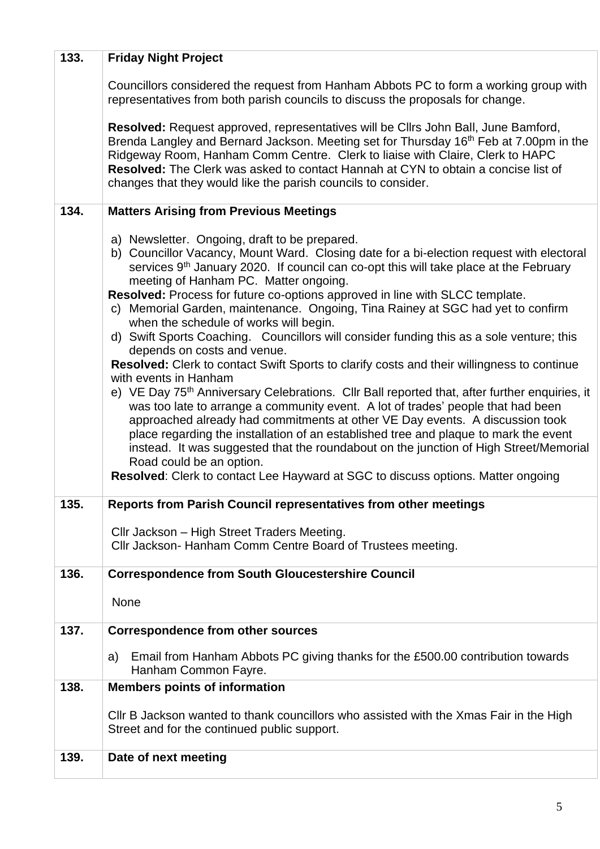| 133. | <b>Friday Night Project</b>                                                                                                                                                                                                                                                                                                                                                                                                                                                                                                                                                                                                                                                                                                                                                                                                                                                                                                                                                                                                                                                                                                                                                                                                                                                                                                                     |
|------|-------------------------------------------------------------------------------------------------------------------------------------------------------------------------------------------------------------------------------------------------------------------------------------------------------------------------------------------------------------------------------------------------------------------------------------------------------------------------------------------------------------------------------------------------------------------------------------------------------------------------------------------------------------------------------------------------------------------------------------------------------------------------------------------------------------------------------------------------------------------------------------------------------------------------------------------------------------------------------------------------------------------------------------------------------------------------------------------------------------------------------------------------------------------------------------------------------------------------------------------------------------------------------------------------------------------------------------------------|
|      | Councillors considered the request from Hanham Abbots PC to form a working group with<br>representatives from both parish councils to discuss the proposals for change.                                                                                                                                                                                                                                                                                                                                                                                                                                                                                                                                                                                                                                                                                                                                                                                                                                                                                                                                                                                                                                                                                                                                                                         |
|      | Resolved: Request approved, representatives will be Cllrs John Ball, June Bamford,<br>Brenda Langley and Bernard Jackson. Meeting set for Thursday 16 <sup>th</sup> Feb at 7.00pm in the<br>Ridgeway Room, Hanham Comm Centre. Clerk to liaise with Claire, Clerk to HAPC<br>Resolved: The Clerk was asked to contact Hannah at CYN to obtain a concise list of<br>changes that they would like the parish councils to consider.                                                                                                                                                                                                                                                                                                                                                                                                                                                                                                                                                                                                                                                                                                                                                                                                                                                                                                                |
| 134. | <b>Matters Arising from Previous Meetings</b>                                                                                                                                                                                                                                                                                                                                                                                                                                                                                                                                                                                                                                                                                                                                                                                                                                                                                                                                                                                                                                                                                                                                                                                                                                                                                                   |
|      | a) Newsletter. Ongoing, draft to be prepared.<br>b) Councillor Vacancy, Mount Ward. Closing date for a bi-election request with electoral<br>services 9 <sup>th</sup> January 2020. If council can co-opt this will take place at the February<br>meeting of Hanham PC. Matter ongoing.<br>Resolved: Process for future co-options approved in line with SLCC template.<br>c) Memorial Garden, maintenance. Ongoing, Tina Rainey at SGC had yet to confirm<br>when the schedule of works will begin.<br>d) Swift Sports Coaching. Councillors will consider funding this as a sole venture; this<br>depends on costs and venue.<br>Resolved: Clerk to contact Swift Sports to clarify costs and their willingness to continue<br>with events in Hanham<br>e) VE Day 75 <sup>th</sup> Anniversary Celebrations. Cllr Ball reported that, after further enquiries, it<br>was too late to arrange a community event. A lot of trades' people that had been<br>approached already had commitments at other VE Day events. A discussion took<br>place regarding the installation of an established tree and plaque to mark the event<br>instead. It was suggested that the roundabout on the junction of High Street/Memorial<br>Road could be an option.<br><b>Resolved:</b> Clerk to contact Lee Hayward at SGC to discuss options. Matter ongoing |
| 135. | Reports from Parish Council representatives from other meetings                                                                                                                                                                                                                                                                                                                                                                                                                                                                                                                                                                                                                                                                                                                                                                                                                                                                                                                                                                                                                                                                                                                                                                                                                                                                                 |
|      | Cllr Jackson - High Street Traders Meeting.<br>Cllr Jackson- Hanham Comm Centre Board of Trustees meeting.                                                                                                                                                                                                                                                                                                                                                                                                                                                                                                                                                                                                                                                                                                                                                                                                                                                                                                                                                                                                                                                                                                                                                                                                                                      |
| 136. | <b>Correspondence from South Gloucestershire Council</b>                                                                                                                                                                                                                                                                                                                                                                                                                                                                                                                                                                                                                                                                                                                                                                                                                                                                                                                                                                                                                                                                                                                                                                                                                                                                                        |
|      | None                                                                                                                                                                                                                                                                                                                                                                                                                                                                                                                                                                                                                                                                                                                                                                                                                                                                                                                                                                                                                                                                                                                                                                                                                                                                                                                                            |
| 137. | <b>Correspondence from other sources</b>                                                                                                                                                                                                                                                                                                                                                                                                                                                                                                                                                                                                                                                                                                                                                                                                                                                                                                                                                                                                                                                                                                                                                                                                                                                                                                        |
|      | Email from Hanham Abbots PC giving thanks for the £500.00 contribution towards<br>a)<br>Hanham Common Fayre.                                                                                                                                                                                                                                                                                                                                                                                                                                                                                                                                                                                                                                                                                                                                                                                                                                                                                                                                                                                                                                                                                                                                                                                                                                    |
| 138. | <b>Members points of information</b>                                                                                                                                                                                                                                                                                                                                                                                                                                                                                                                                                                                                                                                                                                                                                                                                                                                                                                                                                                                                                                                                                                                                                                                                                                                                                                            |
|      | Cllr B Jackson wanted to thank councillors who assisted with the Xmas Fair in the High<br>Street and for the continued public support.                                                                                                                                                                                                                                                                                                                                                                                                                                                                                                                                                                                                                                                                                                                                                                                                                                                                                                                                                                                                                                                                                                                                                                                                          |
| 139. | Date of next meeting                                                                                                                                                                                                                                                                                                                                                                                                                                                                                                                                                                                                                                                                                                                                                                                                                                                                                                                                                                                                                                                                                                                                                                                                                                                                                                                            |
|      |                                                                                                                                                                                                                                                                                                                                                                                                                                                                                                                                                                                                                                                                                                                                                                                                                                                                                                                                                                                                                                                                                                                                                                                                                                                                                                                                                 |